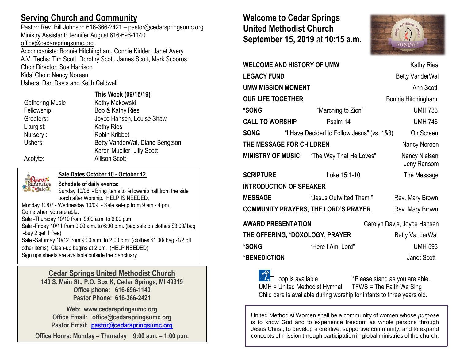# **Serving Church and Community**

Pastor: Rev. Bill Johnson 616-366-2421 – pastor@cedarspringsumc.org Ministry Assistant: Jennifer August 616-696-1140 [office@cedarspringsumc.org](mailto:office@cedarspringsumc.org)

Accompanists: Bonnie Hitchingham, Connie Kidder, Janet Avery A.V. Techs: Tim Scott, Dorothy Scott, James Scott, Mark Scooros Choir Director: Sue Harrison Kids' Choir: Nancy Noreen Ushers: Dan Davis and Keith Caldwell

### **This Week (09/15/19)**

Gathering Music Kathy Makowski Fellowship: Bob & Kathy Ries Greeters: Joyce Hansen, Louise Shaw Liturgist: Kathy Ries Nursery : Robin Kribbet Ushers: Betty VanderWal, Diane Bengtson Karen Mueller, Lilly Scott Acolyte: Allison Scott

# **Church**<br>Rummage

**Sale Dates October 10 - October 12.**

**Schedule of daily events:**

Sunday 10/06 - Bring items to fellowship hall from the side porch after Worship. HELP IS NEEDED. Monday 10/07 - Wednesday 10/09 - Sale set-up from 9 am - 4 pm. Come when you are able. Sale -Thursday 10/10 from 9:00 a.m. to 6:00 p.m. Sale -Friday 10/11 from 9:00 a.m. to 6:00 p.m. (bag sale on clothes \$3.00/ bag -buy 2 get 1 free) Sale -Saturday 10/12 from 9:00 a.m. to 2:00 p.m. (clothes \$1.00/ bag -1/2 off other items) Clean-up begins at 2 pm. (HELP NEEDED) Sign ups sheets are available outside the Sanctuary.

### **Cedar Springs United Methodist Church**

**140 S. Main St., P.O. Box K, Cedar Springs, MI 49319 Office phone: 616-696-1140 Pastor Phone: 616-366-2421**

**Web: www.cedarspringsumc.org Office Email: office@cedarspringsumc.org Pastor Email: [pastor@cedarspringsumc.org](mailto:pastor@cedarspringsumc.org)**

**Office Hours: Monday – Thursday 9:00 a.m. – 1:00 p.m.**

# **Welcome to Cedar Springs United Methodist Church September 15, 2019** at **10:15 a.m.**



| <b>WELCOME AND HISTORY OF UMW</b>                              | <b>Kathy Ries</b> |                                                  |  |                              |  |  |
|----------------------------------------------------------------|-------------------|--------------------------------------------------|--|------------------------------|--|--|
| <b>LEGACY FUND</b>                                             |                   |                                                  |  | <b>Betty VanderWal</b>       |  |  |
| <b>UMW MISSION MOMENT</b>                                      | Ann Scott         |                                                  |  |                              |  |  |
| <b>OUR LIFE TOGETHER</b>                                       |                   |                                                  |  | Bonnie Hitchingham           |  |  |
| *SONG                                                          |                   | "Marching to Zion"                               |  | <b>UMH 733</b>               |  |  |
| <b>CALL TO WORSHIP</b>                                         |                   | Psalm 14                                         |  | <b>UMH 746</b>               |  |  |
| <b>SONG</b>                                                    |                   | "I Have Decided to Follow Jesus" (vs. 1&3)       |  | On Screen                    |  |  |
| THE MESSAGE FOR CHILDREN<br>Nancy Noreen                       |                   |                                                  |  |                              |  |  |
|                                                                |                   | <b>MINISTRY OF MUSIC</b> "The Way That He Loves" |  | Nancy Nielsen<br>Jeny Ransom |  |  |
| <b>SCRIPTURE</b>                                               |                   | Luke 15:1-10                                     |  | The Message                  |  |  |
| <b>INTRODUCTION OF SPEAKER</b>                                 |                   |                                                  |  |                              |  |  |
| <b>MESSAGE</b>                                                 |                   | "Jesus Outwitted Them."                          |  | Rev. Mary Brown              |  |  |
| <b>COMMUNITY PRAYERS, THE LORD'S PRAYER</b><br>Rev. Mary Brown |                   |                                                  |  |                              |  |  |
| <b>AWARD PRESENTATION</b>                                      |                   |                                                  |  | Carolyn Davis, Joyce Hansen  |  |  |
|                                                                |                   | THE OFFERING, *DOXOLOGY, PRAYER                  |  | <b>Betty VanderWal</b>       |  |  |
| <b>*SONG</b>                                                   |                   | "Here I Am, Lord"                                |  | <b>UMH 593</b>               |  |  |
| *BENEDICTION                                                   |                   |                                                  |  | Janet Scott                  |  |  |
|                                                                |                   |                                                  |  |                              |  |  |

 $\widehat{\mathcal{D}_{r}}$ T Loop is available  $\longrightarrow$  \*Please stand as you are able. UMH = United Methodist Hymnal TFWS = The Faith We Sing Child care is available during worship for infants to three years old.

United Methodist Women shall be a community of women whose *purpose* is to know God and to experience freedom as whole persons through Jesus Christ; to develop a creative, supportive community; and to expand concepts of mission through participation in global ministries of the church.